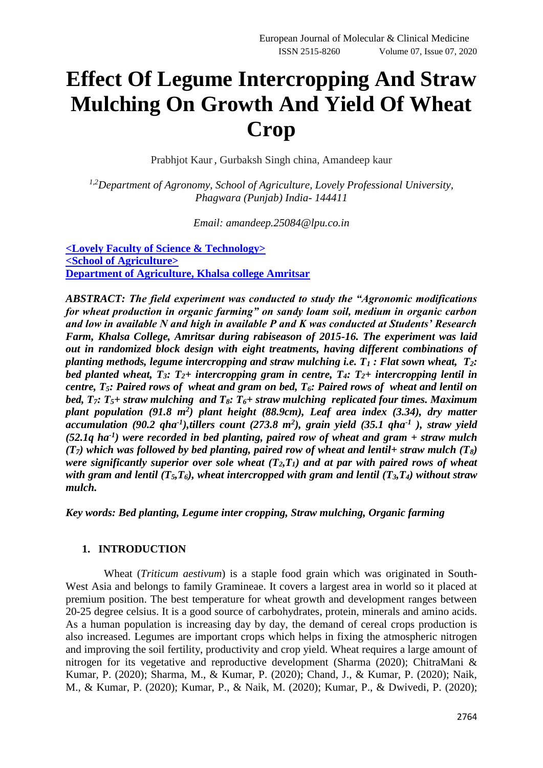# **Effect Of Legume Intercropping And Straw Mulching On Growth And Yield Of Wheat Crop**

Prabhjot Kaur , Gurbaksh Singh china, Amandeep kaur

*1,2Department of Agronomy, School of Agriculture, Lovely Professional University, Phagwara (Punjab) India- 144411*

*Email: [amandeep.25084@lpu.co.in](mailto:amandeep.25084@lpu.co.in)*

**<Lovely Faculty of Science & Technology> <School of Agriculture> Department of Agriculture, Khalsa college Amritsar**

*ABSTRACT: The field experiment was conducted to study the "Agronomic modifications for wheat production in organic farming" on sandy loam soil, medium in organic carbon and low in available N and high in available P and K was conducted at Students' Research Farm, Khalsa College, Amritsar during rabiseason of 2015-16. The experiment was laid out in randomized block design with eight treatments, having different combinations of planting methods, legume intercropping and straw mulching i.e. T<sup>1</sup> : Flat sown wheat, T2: bed planted wheat, T3: T2+ intercropping gram in centre, T4: T2+ intercropping lentil in centre, T5: Paired rows of wheat and gram on bed, T6: Paired rows of wheat and lentil on bed, T7: T5+ straw mulching and T8: T6+ straw mulching replicated four times. Maximum plant population (91.8 m<sup>2</sup> ) plant height (88.9cm), Leaf area index (3.34), dry matter*  accumulation (90.2 qha<sup>-1</sup>),tillers count (273.8 m<sup>2</sup>), grain yield (35.1 qha<sup>-1</sup>), straw yield *(52.1q ha-1 ) were recorded in bed planting, paired row of wheat and gram + straw mulch*   $(T_7)$  which was followed by bed planting, paired row of wheat and lentil+ straw mulch  $(T_8)$ *were significantly superior over sole wheat*  $(T_2, T_1)$  and at par with paired rows of wheat *with gram and lentil (T5,T6), wheat intercropped with gram and lentil (T3,T4) without straw mulch.*

*Key words: Bed planting, Legume inter cropping, Straw mulching, Organic farming*

### **1. INTRODUCTION**

 Wheat (*Triticum aestivum*) is a staple food grain which was originated in South-West Asia and belongs to family Gramineae. It covers a largest area in world so it placed at premium position. The best temperature for wheat growth and development ranges between 20-25 degree celsius. It is a good source of carbohydrates, protein, minerals and amino acids. As a human population is increasing day by day, the demand of cereal crops production is also increased. Legumes are important crops which helps in fixing the atmospheric nitrogen and improving the soil fertility, productivity and crop yield. Wheat requires a large amount of nitrogen for its vegetative and reproductive development (Sharma (2020); ChitraMani & Kumar, P. (2020); Sharma, M., & Kumar, P. (2020); Chand, J., & Kumar, P. (2020); Naik, M., & Kumar, P. (2020); Kumar, P., & Naik, M. (2020); Kumar, P., & Dwivedi, P. (2020);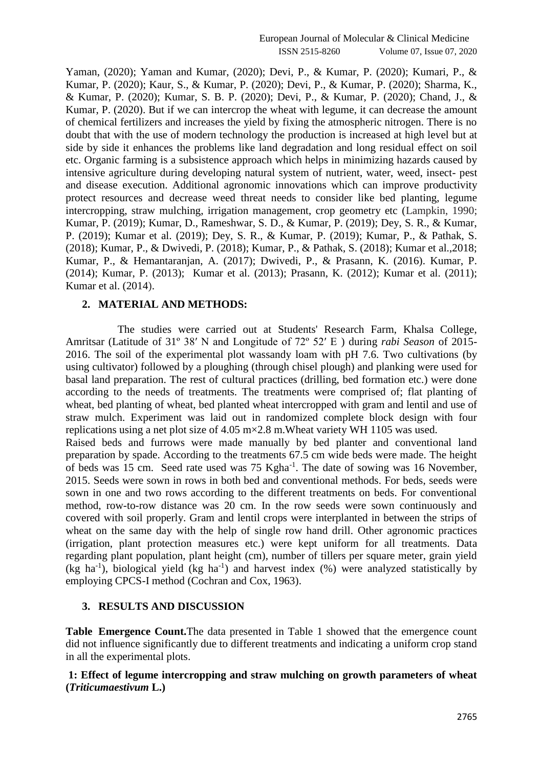Yaman, (2020); Yaman and Kumar, (2020); Devi, P., & Kumar, P. (2020); Kumari, P., & Kumar, P. (2020); Kaur, S., & Kumar, P. (2020); Devi, P., & Kumar, P. (2020); Sharma, K., & Kumar, P. (2020); Kumar, S. B. P. (2020); Devi, P., & Kumar, P. (2020); Chand, J., & Kumar, P. (2020). But if we can intercrop the wheat with legume, it can decrease the amount of chemical fertilizers and increases the yield by fixing the atmospheric nitrogen. There is no doubt that with the use of modern technology the production is increased at high level but at side by side it enhances the problems like land degradation and long residual effect on soil etc. Organic farming is a subsistence approach which helps in minimizing hazards caused by intensive agriculture during developing natural system of nutrient, water, weed, insect- pest and disease execution. Additional agronomic innovations which can improve productivity protect resources and decrease weed threat needs to consider like bed planting, legume intercropping, straw mulching, irrigation management, crop geometry etc (Lampkin, 1990; Kumar, P. (2019); Kumar, D., Rameshwar, S. D., & Kumar, P. (2019); Dey, S. R., & Kumar, P. (2019); Kumar et al. (2019); Dey, S. R., & Kumar, P. (2019); Kumar, P., & Pathak, S. (2018); Kumar, P., & Dwivedi, P. (2018); Kumar, P., & Pathak, S. (2018); Kumar et al.,2018; Kumar, P., & Hemantaranjan, A. (2017); Dwivedi, P., & Prasann, K. (2016). Kumar, P. (2014); Kumar, P. (2013); Kumar et al. (2013); Prasann, K. (2012); Kumar et al. (2011); Kumar et al. (2014).

#### **2. MATERIAL AND METHODS:**

 The studies were carried out at Students' Research Farm, Khalsa College, Amritsar (Latitude of 31º 38′ N and Longitude of 72º 52′ E ) during *rabi Season* of 2015- 2016. The soil of the experimental plot wassandy loam with pH 7.6. Two cultivations (by using cultivator) followed by a ploughing (through chisel plough) and planking were used for basal land preparation. The rest of cultural practices (drilling, bed formation etc.) were done according to the needs of treatments. The treatments were comprised of; flat planting of wheat, bed planting of wheat, bed planted wheat intercropped with gram and lentil and use of straw mulch. Experiment was laid out in randomized complete block design with four replications using a net plot size of 4.05 m×2.8 m.Wheat variety WH 1105 was used. Raised beds and furrows were made manually by bed planter and conventional land preparation by spade. According to the treatments 67.5 cm wide beds were made. The height of beds was 15 cm. Seed rate used was 75 Kgha<sup>-1</sup>. The date of sowing was 16 November, 2015. Seeds were sown in rows in both bed and conventional methods. For beds, seeds were sown in one and two rows according to the different treatments on beds. For conventional method, row-to-row distance was 20 cm. In the row seeds were sown continuously and covered with soil properly. Gram and lentil crops were interplanted in between the strips of wheat on the same day with the help of single row hand drill. Other agronomic practices (irrigation, plant protection measures etc.) were kept uniform for all treatments. Data regarding plant population, plant height (cm), number of tillers per square meter, grain yield  $(kg \text{ ha}^{-1})$ , biological yield  $(kg \text{ ha}^{-1})$  and harvest index  $(\%)$  were analyzed statistically by employing CPCS-I method (Cochran and Cox, 1963).

## **3. RESULTS AND DISCUSSION**

**Table Emergence Count.**The data presented in Table 1 showed that the emergence count did not influence significantly due to different treatments and indicating a uniform crop stand in all the experimental plots.

## **1: Effect of legume intercropping and straw mulching on growth parameters of wheat (***Triticumaestivum* **L.)**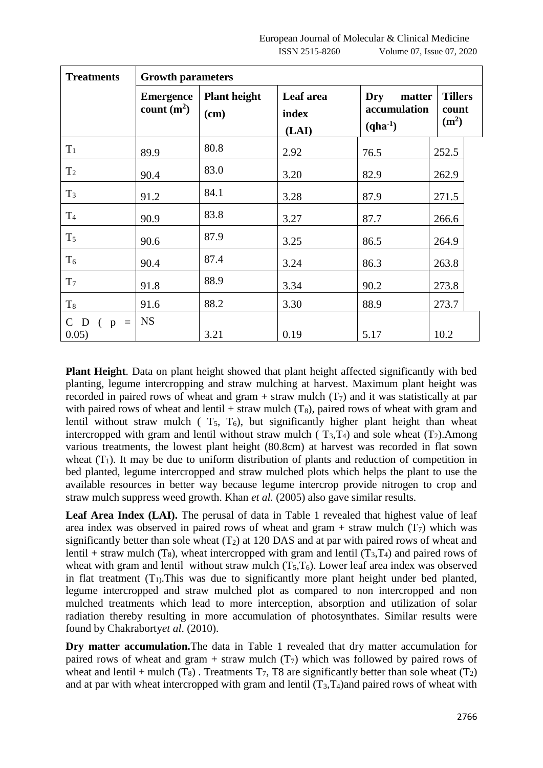| <b>Treatments</b>      | <b>Growth parameters</b>          |                             |                             |                                               |                                              |  |
|------------------------|-----------------------------------|-----------------------------|-----------------------------|-----------------------------------------------|----------------------------------------------|--|
|                        | <b>Emergence</b><br>count $(m^2)$ | <b>Plant height</b><br>(cm) | Leaf area<br>index<br>(LAI) | Dry<br>matter<br>accumulation<br>$(qha^{-1})$ | <b>Tillers</b><br>count<br>(m <sup>2</sup> ) |  |
| $T_1$                  | 89.9                              | 80.8                        | 2.92                        | 76.5                                          | 252.5                                        |  |
| T <sub>2</sub>         | 90.4                              | 83.0                        | 3.20                        | 82.9                                          | 262.9                                        |  |
| $T_3$                  | 91.2                              | 84.1                        | 3.28                        | 87.9                                          | 271.5                                        |  |
| T <sub>4</sub>         | 90.9                              | 83.8                        | 3.27                        | 87.7                                          | 266.6                                        |  |
| $T_5$                  | 90.6                              | 87.9                        | 3.25                        | 86.5                                          | 264.9                                        |  |
| $T_6$                  | 90.4                              | 87.4                        | 3.24                        | 86.3                                          | 263.8                                        |  |
| T <sub>7</sub>         | 91.8                              | 88.9                        | 3.34                        | 90.2                                          | 273.8                                        |  |
| $T_8$                  | 91.6                              | 88.2                        | 3.30                        | 88.9                                          | 273.7                                        |  |
| $C$ D ( $p =$<br>0.05) | <b>NS</b>                         | 3.21                        | 0.19                        | 5.17                                          | 10.2                                         |  |

**Plant Height**. Data on plant height showed that plant height affected significantly with bed planting, legume intercropping and straw mulching at harvest. Maximum plant height was recorded in paired rows of wheat and gram + straw mulch  $(T_7)$  and it was statistically at par with paired rows of wheat and lentil + straw mulch  $(T_8)$ , paired rows of wheat with gram and lentil without straw mulch  $(T_5, T_6)$ , but significantly higher plant height than wheat intercropped with gram and lentil without straw mulch ( $T_3$ , $T_4$ ) and sole wheat ( $T_2$ ).Among various treatments, the lowest plant height (80.8cm) at harvest was recorded in flat sown wheat  $(T_1)$ . It may be due to uniform distribution of plants and reduction of competition in bed planted, legume intercropped and straw mulched plots which helps the plant to use the available resources in better way because legume intercrop provide nitrogen to crop and straw mulch suppress weed growth. Khan *et al.* (2005) also gave similar results.

Leaf Area Index (LAI). The perusal of data in Table 1 revealed that highest value of leaf area index was observed in paired rows of wheat and gram + straw mulch  $(T<sub>7</sub>)$  which was significantly better than sole wheat  $(T_2)$  at 120 DAS and at par with paired rows of wheat and lentil + straw mulch (T<sub>8</sub>), wheat intercropped with gram and lentil (T<sub>3</sub>,T<sub>4</sub>) and paired rows of wheat with gram and lentil without straw mulch  $(T_5,T_6)$ . Lower leaf area index was observed in flat treatment  $(T_1)$ . This was due to significantly more plant height under bed planted, legume intercropped and straw mulched plot as compared to non intercropped and non mulched treatments which lead to more interception, absorption and utilization of solar radiation thereby resulting in more accumulation of photosynthates. Similar results were found by Chakraborty*et al*. (2010).

**Dry matter accumulation.**The data in Table 1 revealed that dry matter accumulation for paired rows of wheat and gram + straw mulch  $(T<sub>7</sub>)$  which was followed by paired rows of wheat and lentil + mulch  $(T_8)$ . Treatments  $T_7$ , T8 are significantly better than sole wheat  $(T_2)$ and at par with wheat intercropped with gram and lentil  $(T_3,T_4)$  and paired rows of wheat with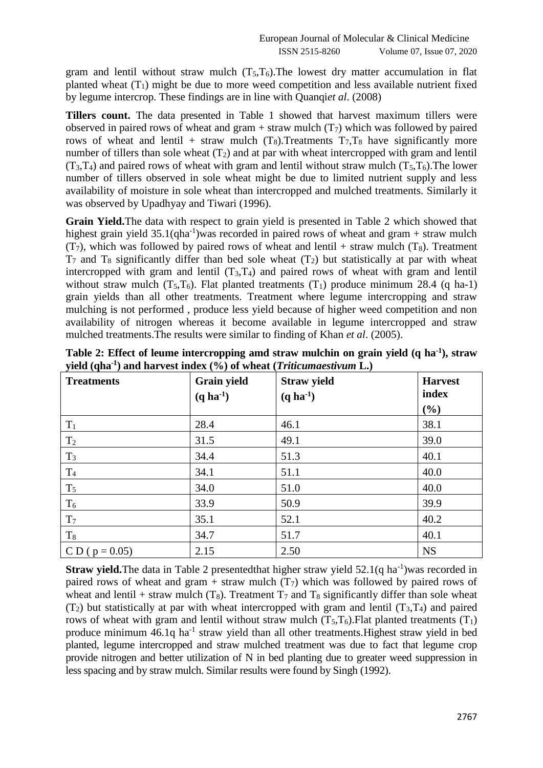gram and lentil without straw mulch  $(T_5,T_6)$ . The lowest dry matter accumulation in flat planted wheat  $(T_1)$  might be due to more weed competition and less available nutrient fixed by legume intercrop. These findings are in line with Quanqi*et al*. (2008)

**Tillers count.** The data presented in Table 1 showed that harvest maximum tillers were observed in paired rows of wheat and gram + straw mulch  $(T_7)$  which was followed by paired rows of wheat and lentil + straw mulch  $(T_8)$ . Treatments  $T_7$ ,  $T_8$  have significantly more number of tillers than sole wheat  $(T_2)$  and at par with wheat intercropped with gram and lentil  $(T_3,T_4)$  and paired rows of wheat with gram and lentil without straw mulch  $(T_5,T_6)$ . The lower number of tillers observed in sole wheat might be due to limited nutrient supply and less availability of moisture in sole wheat than intercropped and mulched treatments. Similarly it was observed by Upadhyay and Tiwari (1996).

**Grain Yield.**The data with respect to grain yield is presented in Table 2 which showed that highest grain yield  $35.1(qha^{-1})$  was recorded in paired rows of wheat and gram + straw mulch  $(T<sub>7</sub>)$ , which was followed by paired rows of wheat and lentil + straw mulch  $(T<sub>8</sub>)$ . Treatment  $T_7$  and  $T_8$  significantly differ than bed sole wheat  $(T_2)$  but statistically at par with wheat intercropped with gram and lentil  $(T_3,T_4)$  and paired rows of wheat with gram and lentil without straw mulch  $(T_5,T_6)$ . Flat planted treatments  $(T_1)$  produce minimum 28.4 (q ha-1) grain yields than all other treatments. Treatment where legume intercropping and straw mulching is not performed , produce less yield because of higher weed competition and non availability of nitrogen whereas it become available in legume intercropped and straw mulched treatments.The results were similar to finding of Khan *et al*. (2005).

| <b>Treatments</b>  | <b>Grain yield</b><br>$(q \, ha^{-1})$ | <b>Straw yield</b><br>$(q \, ha^{-1})$ | <b>Harvest</b><br>index |
|--------------------|----------------------------------------|----------------------------------------|-------------------------|
|                    |                                        |                                        | $(\%)$                  |
| $T_1$              | 28.4                                   | 46.1                                   | 38.1                    |
| T <sub>2</sub>     | 31.5                                   | 49.1                                   | 39.0                    |
| $T_3$              | 34.4                                   | 51.3                                   | 40.1                    |
| $\rm T_4$          | 34.1                                   | 51.1                                   | 40.0                    |
| $T_5$              | 34.0                                   | 51.0                                   | 40.0                    |
| $T_6$              | 33.9                                   | 50.9                                   | 39.9                    |
| T <sub>7</sub>     | 35.1                                   | 52.1                                   | 40.2                    |
| $T_8$              | 34.7                                   | 51.7                                   | 40.1                    |
| C D ( $p = 0.05$ ) | 2.15                                   | 2.50                                   | <b>NS</b>               |

**Table 2: Effect of leume intercropping amd straw mulchin on grain yield (q ha-1 ), straw yield (qha-1 ) and harvest index (%) of wheat (***Triticumaestivum* **L.)**

**Straw yield.**The data in Table 2 presentedthat higher straw yield 52.1(q ha<sup>-1</sup>)was recorded in paired rows of wheat and gram + straw mulch  $(T<sub>7</sub>)$  which was followed by paired rows of wheat and lentil + straw mulch  $(T_8)$ . Treatment  $T_7$  and  $T_8$  significantly differ than sole wheat  $(T_2)$  but statistically at par with wheat intercropped with gram and lentil  $(T_3,T_4)$  and paired rows of wheat with gram and lentil without straw mulch  $(T_5,T_6)$ . Flat planted treatments  $(T_1)$ produce minimum 46.1q ha<sup>-1</sup> straw yield than all other treatments. Highest straw yield in bed planted, legume intercropped and straw mulched treatment was due to fact that legume crop provide nitrogen and better utilization of N in bed planting due to greater weed suppression in less spacing and by straw mulch. Similar results were found by Singh (1992).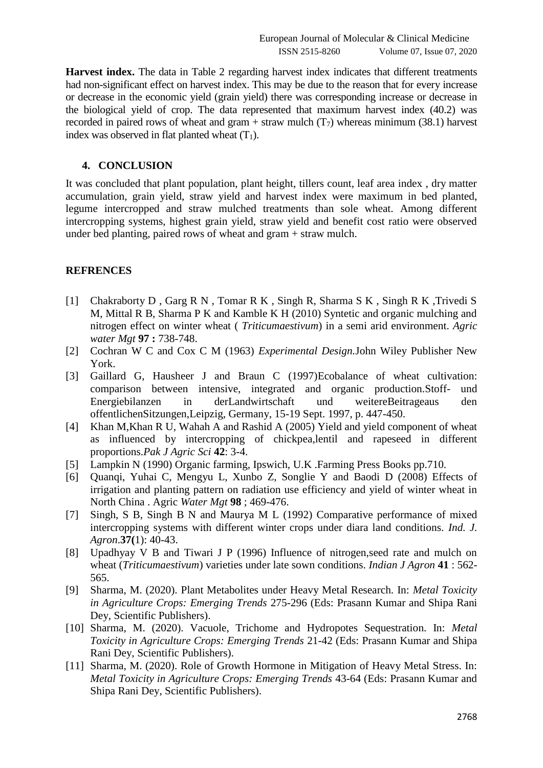**Harvest index.** The data in Table 2 regarding harvest index indicates that different treatments had non-significant effect on harvest index. This may be due to the reason that for every increase or decrease in the economic yield (grain yield) there was corresponding increase or decrease in the biological yield of crop. The data represented that maximum harvest index (40.2) was recorded in paired rows of wheat and gram + straw mulch  $(T_7)$  whereas minimum (38.1) harvest index was observed in flat planted wheat  $(T_1)$ .

## **4. CONCLUSION**

It was concluded that plant population, plant height, tillers count, leaf area index , dry matter accumulation, grain yield, straw yield and harvest index were maximum in bed planted, legume intercropped and straw mulched treatments than sole wheat. Among different intercropping systems, highest grain yield, straw yield and benefit cost ratio were observed under bed planting, paired rows of wheat and gram + straw mulch.

### **REFRENCES**

- [1] Chakraborty D, Garg R N, Tomar R K, Singh R, Sharma S K, Singh R K, Trivedi S M, Mittal R B, Sharma P K and Kamble K H (2010) Syntetic and organic mulching and nitrogen effect on winter wheat ( *Triticumaestivum*) in a semi arid environment. *Agric water Mgt* **97 :** 738-748.
- [2] Cochran W C and Cox C M (1963) *Experimental Design.*John Wiley Publisher New York.
- [3] Gaillard G, Hausheer J and Braun C (1997)Ecobalance of wheat cultivation: comparison between intensive, integrated and organic production.Stoff- und Energiebilanzen in derLandwirtschaft und weitereBeitrageaus den offentlichenSitzungen,Leipzig, Germany, 15-19 Sept. 1997, p. 447-450.
- [4] Khan M,Khan R U, Wahah A and Rashid A (2005) Yield and yield component of wheat as influenced by intercropping of chickpea,lentil and rapeseed in different proportions.*Pak J Agric Sci* **42**: 3-4.
- [5] Lampkin N (1990) Organic farming, Ipswich, U.K .Farming Press Books pp.710.
- [6] Quanqi, Yuhai C, Mengyu L, Xunbo Z, Songlie Y and Baodi D (2008) Effects of irrigation and planting pattern on radiation use efficiency and yield of winter wheat in North China . Agric *Water Mgt* **98** ; 469-476.
- [7] Singh, S B, Singh B N and Maurya M L (1992) Comparative performance of mixed intercropping systems with different winter crops under diara land conditions. *Ind. J. Agron*.**37(**1): 40-43.
- [8] Upadhyay V B and Tiwari J P (1996) Influence of nitrogen,seed rate and mulch on wheat (*Triticumaestivum*) varieties under late sown conditions. *Indian J Agron* **41** : 562- 565.
- [9] Sharma, M. (2020). Plant Metabolites under Heavy Metal Research. In: *Metal Toxicity in Agriculture Crops: Emerging Trends* 275-296 (Eds: Prasann Kumar and Shipa Rani Dey, Scientific Publishers).
- [10] Sharma, M. (2020). Vacuole, Trichome and Hydropotes Sequestration. In: *Metal Toxicity in Agriculture Crops: Emerging Trends* 21-42 (Eds: Prasann Kumar and Shipa Rani Dey, Scientific Publishers).
- [11] Sharma, M. (2020). Role of Growth Hormone in Mitigation of Heavy Metal Stress. In: *Metal Toxicity in Agriculture Crops: Emerging Trends* 43-64 (Eds: Prasann Kumar and Shipa Rani Dey, Scientific Publishers).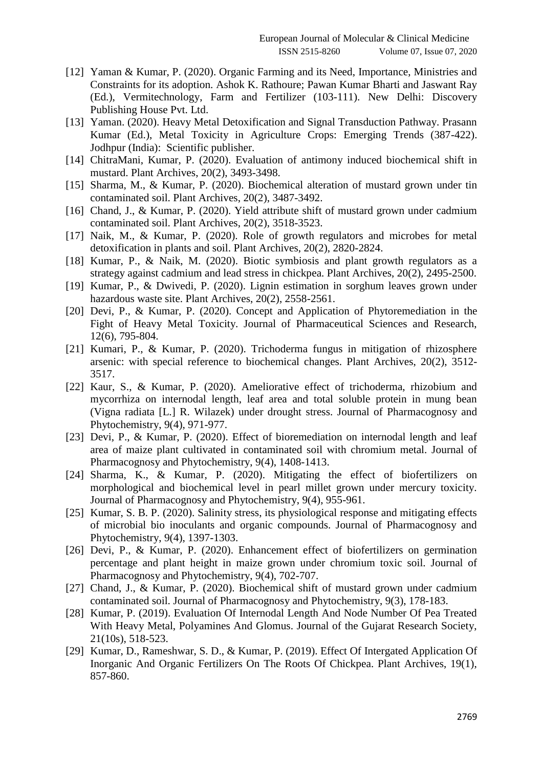- [12] Yaman & Kumar, P. (2020). Organic Farming and its Need, Importance, Ministries and Constraints for its adoption. Ashok K. Rathoure; Pawan Kumar Bharti and Jaswant Ray (Ed.), Vermitechnology, Farm and Fertilizer (103-111). New Delhi: Discovery Publishing House Pvt. Ltd.
- [13] Yaman. (2020). Heavy Metal Detoxification and Signal Transduction Pathway. Prasann Kumar (Ed.), Metal Toxicity in Agriculture Crops: Emerging Trends (387-422). Jodhpur (India): Scientific publisher.
- [14] ChitraMani, Kumar, P. (2020). Evaluation of antimony induced biochemical shift in mustard. Plant Archives, 20(2), 3493-3498.
- [15] Sharma, M., & Kumar, P. (2020). Biochemical alteration of mustard grown under tin contaminated soil. Plant Archives, 20(2), 3487-3492.
- [16] Chand, J., & Kumar, P. (2020). Yield attribute shift of mustard grown under cadmium contaminated soil. Plant Archives, 20(2), 3518-3523.
- [17] Naik, M., & Kumar, P. (2020). Role of growth regulators and microbes for metal detoxification in plants and soil. Plant Archives, 20(2), 2820-2824.
- [18] Kumar, P., & Naik, M. (2020). Biotic symbiosis and plant growth regulators as a strategy against cadmium and lead stress in chickpea. Plant Archives, 20(2), 2495-2500.
- [19] Kumar, P., & Dwivedi, P. (2020). Lignin estimation in sorghum leaves grown under hazardous waste site. Plant Archives, 20(2), 2558-2561.
- [20] Devi, P., & Kumar, P. (2020). Concept and Application of Phytoremediation in the Fight of Heavy Metal Toxicity. Journal of Pharmaceutical Sciences and Research, 12(6), 795-804.
- [21] Kumari, P., & Kumar, P. (2020). Trichoderma fungus in mitigation of rhizosphere arsenic: with special reference to biochemical changes. Plant Archives, 20(2), 3512- 3517.
- [22] Kaur, S., & Kumar, P. (2020). Ameliorative effect of trichoderma, rhizobium and mycorrhiza on internodal length, leaf area and total soluble protein in mung bean (Vigna radiata [L.] R. Wilazek) under drought stress. Journal of Pharmacognosy and Phytochemistry, 9(4), 971-977.
- [23] Devi, P., & Kumar, P. (2020). Effect of bioremediation on internodal length and leaf area of maize plant cultivated in contaminated soil with chromium metal. Journal of Pharmacognosy and Phytochemistry, 9(4), 1408-1413.
- [24] Sharma, K., & Kumar, P. (2020). Mitigating the effect of biofertilizers on morphological and biochemical level in pearl millet grown under mercury toxicity. Journal of Pharmacognosy and Phytochemistry, 9(4), 955-961.
- [25] Kumar, S. B. P. (2020). Salinity stress, its physiological response and mitigating effects of microbial bio inoculants and organic compounds. Journal of Pharmacognosy and Phytochemistry, 9(4), 1397-1303.
- [26] Devi, P., & Kumar, P. (2020). Enhancement effect of biofertilizers on germination percentage and plant height in maize grown under chromium toxic soil. Journal of Pharmacognosy and Phytochemistry, 9(4), 702-707.
- [27] Chand, J., & Kumar, P. (2020). Biochemical shift of mustard grown under cadmium contaminated soil. Journal of Pharmacognosy and Phytochemistry, 9(3), 178-183.
- [28] Kumar, P. (2019). Evaluation Of Internodal Length And Node Number Of Pea Treated With Heavy Metal, Polyamines And Glomus. Journal of the Gujarat Research Society, 21(10s), 518-523.
- [29] Kumar, D., Rameshwar, S. D., & Kumar, P. (2019). Effect Of Intergated Application Of Inorganic And Organic Fertilizers On The Roots Of Chickpea. Plant Archives, 19(1), 857-860.